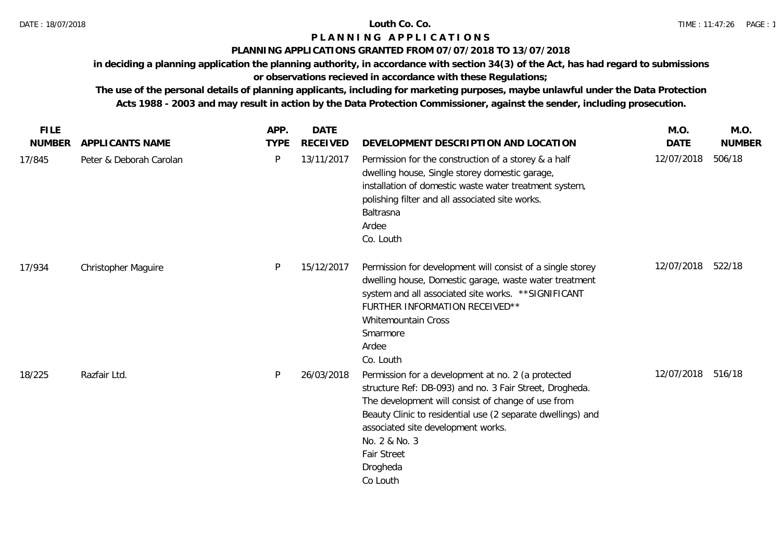# **P L A N N I N G A P P L I C A T I O N S**

## **PLANNING APPLICATIONS GRANTED FROM 07/07/2018 TO 13/07/2018**

**in deciding a planning application the planning authority, in accordance with section 34(3) of the Act, has had regard to submissions** 

# **or observations recieved in accordance with these Regulations;**

| <b>FILE</b>   |                            | APP.        | <b>DATE</b>     |                                                                                                                                                                                                                                                                                                                                         | M.O.              | M.O.          |
|---------------|----------------------------|-------------|-----------------|-----------------------------------------------------------------------------------------------------------------------------------------------------------------------------------------------------------------------------------------------------------------------------------------------------------------------------------------|-------------------|---------------|
| <b>NUMBER</b> | APPLICANTS NAME            | <b>TYPE</b> | <b>RECEIVED</b> | DEVELOPMENT DESCRIPTION AND LOCATION                                                                                                                                                                                                                                                                                                    | <b>DATE</b>       | <b>NUMBER</b> |
| 17/845        | Peter & Deborah Carolan    | P           | 13/11/2017      | Permission for the construction of a storey & a half<br>dwelling house, Single storey domestic garage,<br>installation of domestic waste water treatment system,<br>polishing filter and all associated site works.<br>Baltrasna<br>Ardee<br>Co. Louth                                                                                  | 12/07/2018        | 506/18        |
| 17/934        | <b>Christopher Maguire</b> | P           | 15/12/2017      | Permission for development will consist of a single storey<br>dwelling house, Domestic garage, waste water treatment<br>system and all associated site works. ** SIGNIFICANT<br>FURTHER INFORMATION RECEIVED**<br>Whitemountain Cross<br>Smarmore<br>Ardee<br>Co. Louth                                                                 | 12/07/2018        | 522/18        |
| 18/225        | Razfair Ltd.               | P           | 26/03/2018      | Permission for a development at no. 2 (a protected<br>structure Ref: DB-093) and no. 3 Fair Street, Drogheda.<br>The development will consist of change of use from<br>Beauty Clinic to residential use (2 separate dwellings) and<br>associated site development works.<br>No. 2 & No. 3<br><b>Fair Street</b><br>Drogheda<br>Co Louth | 12/07/2018 516/18 |               |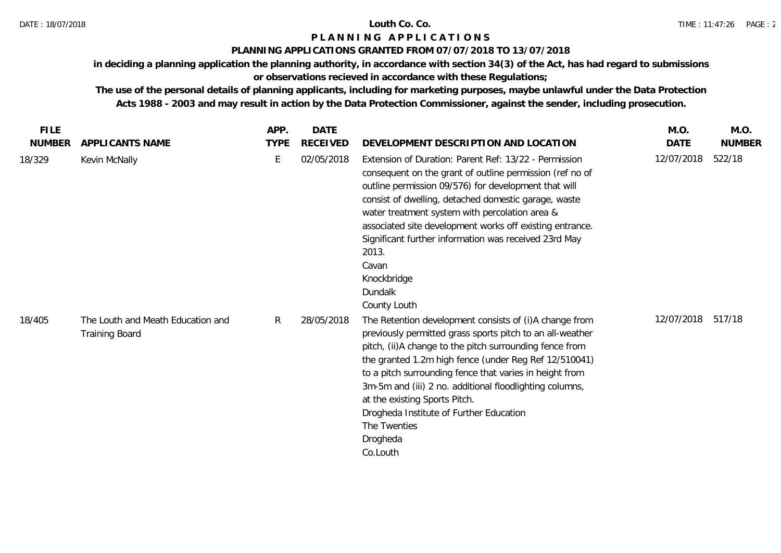## DATE : 18/07/2018 **Louth Co. Co.**

# **P L A N N I N G A P P L I C A T I O N S**

## **PLANNING APPLICATIONS GRANTED FROM 07/07/2018 TO 13/07/2018**

**in deciding a planning application the planning authority, in accordance with section 34(3) of the Act, has had regard to submissions** 

# **or observations recieved in accordance with these Regulations;**

| <b>FILE</b>   |                                                            | APP.         | <b>DATE</b>     |                                                                                                                                                                                                                                                                                                                                                                                                                                                                                   | M.O.        | M.O.          |
|---------------|------------------------------------------------------------|--------------|-----------------|-----------------------------------------------------------------------------------------------------------------------------------------------------------------------------------------------------------------------------------------------------------------------------------------------------------------------------------------------------------------------------------------------------------------------------------------------------------------------------------|-------------|---------------|
| <b>NUMBER</b> | APPLICANTS NAME                                            | <b>TYPE</b>  | <b>RECEIVED</b> | DEVELOPMENT DESCRIPTION AND LOCATION                                                                                                                                                                                                                                                                                                                                                                                                                                              | <b>DATE</b> | <b>NUMBER</b> |
| 18/329        | Kevin McNally                                              | E            | 02/05/2018      | Extension of Duration: Parent Ref: 13/22 - Permission<br>consequent on the grant of outline permission (ref no of<br>outline permission 09/576) for development that will<br>consist of dwelling, detached domestic garage, waste<br>water treatment system with percolation area &<br>associated site development works off existing entrance.<br>Significant further information was received 23rd May<br>2013.<br>Cavan<br>Knockbridge<br>Dundalk<br>County Louth              | 12/07/2018  | 522/18        |
| 18/405        | The Louth and Meath Education and<br><b>Training Board</b> | $\mathsf{R}$ | 28/05/2018      | The Retention development consists of (i)A change from<br>previously permitted grass sports pitch to an all-weather<br>pitch, (ii)A change to the pitch surrounding fence from<br>the granted 1.2m high fence (under Reg Ref 12/510041)<br>to a pitch surrounding fence that varies in height from<br>3m-5m and (iii) 2 no. additional floodlighting columns,<br>at the existing Sports Pitch.<br>Drogheda Institute of Further Education<br>The Twenties<br>Drogheda<br>Co.Louth | 12/07/2018  | 517/18        |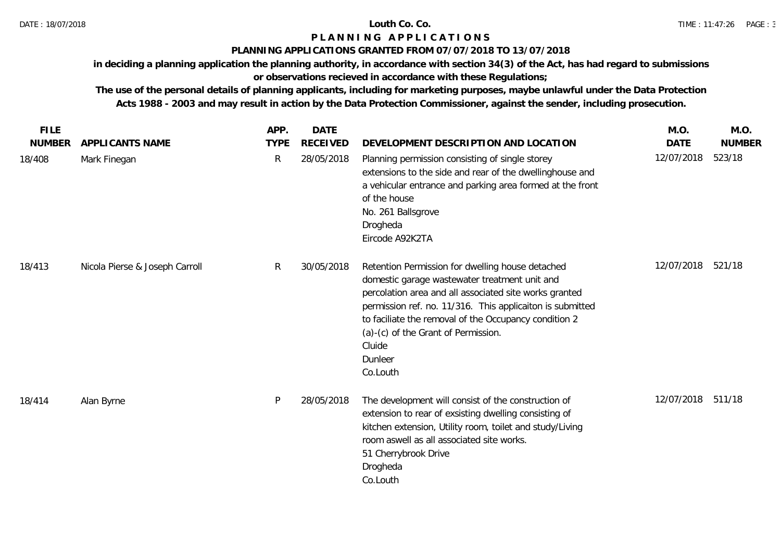# **P L A N N I N G A P P L I C A T I O N S**

## **PLANNING APPLICATIONS GRANTED FROM 07/07/2018 TO 13/07/2018**

**in deciding a planning application the planning authority, in accordance with section 34(3) of the Act, has had regard to submissions** 

# **or observations recieved in accordance with these Regulations;**

| <b>FILE</b>   |                                | APP.         | <b>DATE</b>     |                                                                                                                                                                                                                                                                                                                                                           | M.O.        | M.O.          |
|---------------|--------------------------------|--------------|-----------------|-----------------------------------------------------------------------------------------------------------------------------------------------------------------------------------------------------------------------------------------------------------------------------------------------------------------------------------------------------------|-------------|---------------|
| <b>NUMBER</b> | APPLICANTS NAME                | <b>TYPE</b>  | <b>RECEIVED</b> | DEVELOPMENT DESCRIPTION AND LOCATION                                                                                                                                                                                                                                                                                                                      | <b>DATE</b> | <b>NUMBER</b> |
| 18/408        | Mark Finegan                   | $\mathsf{R}$ | 28/05/2018      | Planning permission consisting of single storey<br>extensions to the side and rear of the dwellinghouse and<br>a vehicular entrance and parking area formed at the front<br>of the house<br>No. 261 Ballsgrove<br>Drogheda<br>Eircode A92K2TA                                                                                                             | 12/07/2018  | 523/18        |
| 18/413        | Nicola Pierse & Joseph Carroll | R            | 30/05/2018      | Retention Permission for dwelling house detached<br>domestic garage wastewater treatment unit and<br>percolation area and all associated site works granted<br>permission ref. no. 11/316. This applicaiton is submitted<br>to faciliate the removal of the Occupancy condition 2<br>(a)-(c) of the Grant of Permission.<br>Cluide<br>Dunleer<br>Co.Louth | 12/07/2018  | 521/18        |
| 18/414        | Alan Byrne                     | P            | 28/05/2018      | The development will consist of the construction of<br>extension to rear of exsisting dwelling consisting of<br>kitchen extension, Utility room, toilet and study/Living<br>room aswell as all associated site works.<br>51 Cherrybrook Drive<br>Drogheda<br>Co.Louth                                                                                     | 12/07/2018  | 511/18        |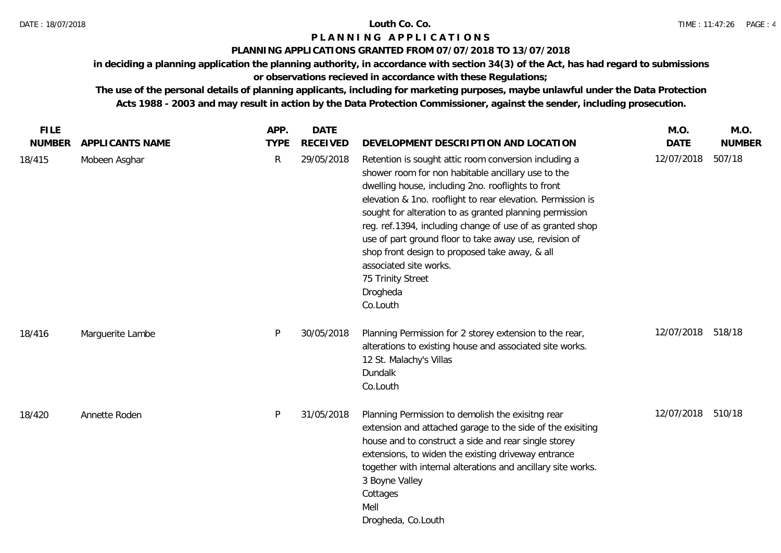## DATE : 18/07/2018 **Louth Co. Co.**

# **P L A N N I N G A P P L I C A T I O N S**

## **PLANNING APPLICATIONS GRANTED FROM 07/07/2018 TO 13/07/2018**

**in deciding a planning application the planning authority, in accordance with section 34(3) of the Act, has had regard to submissions** 

# **or observations recieved in accordance with these Regulations;**

| <b>FILE</b>   |                        | APP.        | <b>DATE</b>     |                                                                                                                                                                                                                                                                                                                                                                                                                                                                                                                                             | M.O.              | M.O.          |
|---------------|------------------------|-------------|-----------------|---------------------------------------------------------------------------------------------------------------------------------------------------------------------------------------------------------------------------------------------------------------------------------------------------------------------------------------------------------------------------------------------------------------------------------------------------------------------------------------------------------------------------------------------|-------------------|---------------|
| <b>NUMBER</b> | <b>APPLICANTS NAME</b> | <b>TYPE</b> | <b>RECEIVED</b> | DEVELOPMENT DESCRIPTION AND LOCATION                                                                                                                                                                                                                                                                                                                                                                                                                                                                                                        | <b>DATE</b>       | <b>NUMBER</b> |
| 18/415        | Mobeen Asghar          | R           | 29/05/2018      | Retention is sought attic room conversion including a<br>shower room for non habitable ancillary use to the<br>dwelling house, including 2no. rooflights to front<br>elevation & 1no. rooflight to rear elevation. Permission is<br>sought for alteration to as granted planning permission<br>reg. ref.1394, including change of use of as granted shop<br>use of part ground floor to take away use, revision of<br>shop front design to proposed take away, & all<br>associated site works.<br>75 Trinity Street<br>Drogheda<br>Co.Louth | 12/07/2018        | 507/18        |
| 18/416        | Marguerite Lambe       | P           | 30/05/2018      | Planning Permission for 2 storey extension to the rear,<br>alterations to existing house and associated site works.<br>12 St. Malachy's Villas<br>Dundalk<br>Co.Louth                                                                                                                                                                                                                                                                                                                                                                       | 12/07/2018 518/18 |               |
| 18/420        | Annette Roden          | P           | 31/05/2018      | Planning Permission to demolish the exisitng rear<br>extension and attached garage to the side of the exisiting<br>house and to construct a side and rear single storey<br>extensions, to widen the existing driveway entrance<br>together with internal alterations and ancillary site works.<br>3 Boyne Valley<br>Cottages<br>Mell<br>Drogheda, Co.Louth                                                                                                                                                                                  | 12/07/2018 510/18 |               |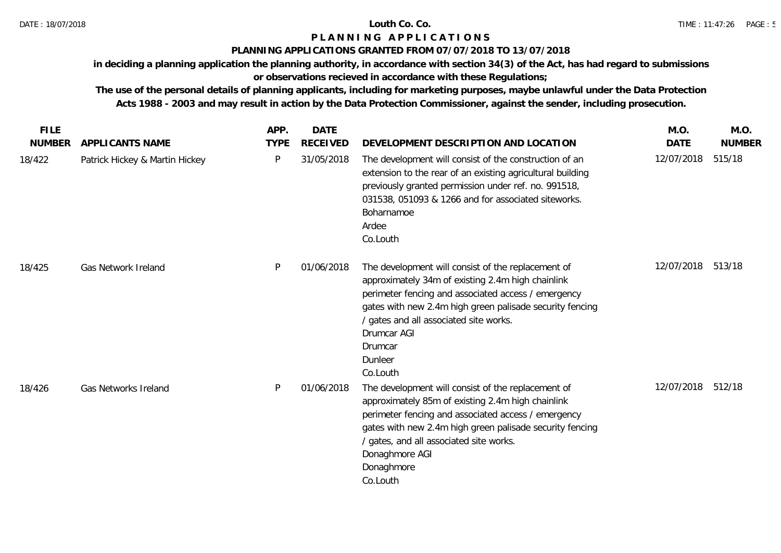## **P L A N N I N G A P P L I C A T I O N S**

## **PLANNING APPLICATIONS GRANTED FROM 07/07/2018 TO 13/07/2018**

**in deciding a planning application the planning authority, in accordance with section 34(3) of the Act, has had regard to submissions** 

# **or observations recieved in accordance with these Regulations;**

| <b>FILE</b>   |                                | APP.        | <b>DATE</b>     |                                                                                                                                                                                                                                                                                                                       | M.O.        | M.O.          |
|---------------|--------------------------------|-------------|-----------------|-----------------------------------------------------------------------------------------------------------------------------------------------------------------------------------------------------------------------------------------------------------------------------------------------------------------------|-------------|---------------|
| <b>NUMBER</b> | APPLICANTS NAME                | <b>TYPE</b> | <b>RECEIVED</b> | DEVELOPMENT DESCRIPTION AND LOCATION                                                                                                                                                                                                                                                                                  | <b>DATE</b> | <b>NUMBER</b> |
| 18/422        | Patrick Hickey & Martin Hickey | P           | 31/05/2018      | The development will consist of the construction of an<br>extension to the rear of an existing agricultural building<br>previously granted permission under ref. no. 991518,<br>031538, 051093 & 1266 and for associated siteworks.<br>Boharnamoe<br>Ardee<br>Co.Louth                                                | 12/07/2018  | 515/18        |
| 18/425        | Gas Network Ireland            | P           | 01/06/2018      | The development will consist of the replacement of<br>approximately 34m of existing 2.4m high chainlink<br>perimeter fencing and associated access / emergency<br>gates with new 2.4m high green palisade security fencing<br>/ gates and all associated site works.<br>Drumcar AGI<br>Drumcar<br>Dunleer<br>Co.Louth | 12/07/2018  | 513/18        |
| 18/426        | Gas Networks Ireland           | P           | 01/06/2018      | The development will consist of the replacement of<br>approximately 85m of existing 2.4m high chainlink<br>perimeter fencing and associated access / emergency<br>gates with new 2.4m high green palisade security fencing<br>/ gates, and all associated site works.<br>Donaghmore AGI<br>Donaghmore<br>Co.Louth     | 12/07/2018  | 512/18        |